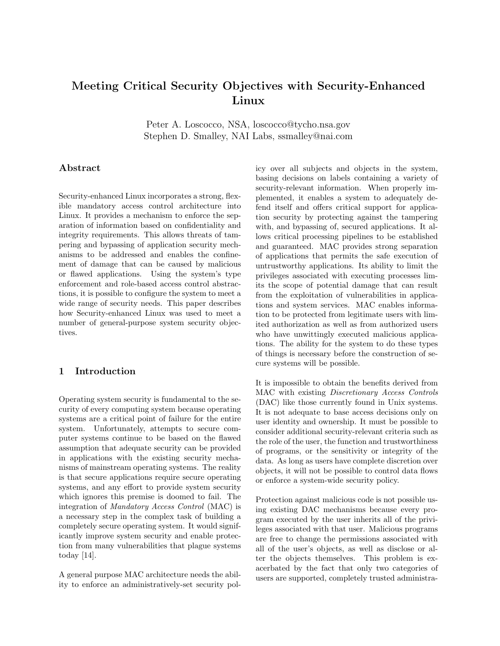# Meeting Critical Security Objectives with Security-Enhanced Linux

Peter A. Loscocco, NSA, loscocco@tycho.nsa.gov Stephen D. Smalley, NAI Labs, ssmalley@nai.com

### Abstract

Security-enhanced Linux incorporates a strong, flexible mandatory access control architecture into Linux. It provides a mechanism to enforce the separation of information based on confidentiality and integrity requirements. This allows threats of tampering and bypassing of application security mechanisms to be addressed and enables the confinement of damage that can be caused by malicious or flawed applications. Using the system's type enforcement and role-based access control abstractions, it is possible to configure the system to meet a wide range of security needs. This paper describes how Security-enhanced Linux was used to meet a number of general-purpose system security objectives.

# 1 Introduction

Operating system security is fundamental to the security of every computing system because operating systems are a critical point of failure for the entire system. Unfortunately, attempts to secure computer systems continue to be based on the flawed assumption that adequate security can be provided in applications with the existing security mechanisms of mainstream operating systems. The reality is that secure applications require secure operating systems, and any effort to provide system security which ignores this premise is doomed to fail. The integration of Mandatory Access Control (MAC) is a necessary step in the complex task of building a completely secure operating system. It would significantly improve system security and enable protection from many vulnerabilities that plague systems today [14].

A general purpose MAC architecture needs the ability to enforce an administratively-set security policy over all subjects and objects in the system, basing decisions on labels containing a variety of security-relevant information. When properly implemented, it enables a system to adequately defend itself and offers critical support for application security by protecting against the tampering with, and bypassing of, secured applications. It allows critical processing pipelines to be established and guaranteed. MAC provides strong separation of applications that permits the safe execution of untrustworthy applications. Its ability to limit the privileges associated with executing processes limits the scope of potential damage that can result from the exploitation of vulnerabilities in applications and system services. MAC enables information to be protected from legitimate users with limited authorization as well as from authorized users who have unwittingly executed malicious applications. The ability for the system to do these types of things is necessary before the construction of secure systems will be possible.

It is impossible to obtain the benefits derived from MAC with existing Discretionary Access Controls (DAC) like those currently found in Unix systems. It is not adequate to base access decisions only on user identity and ownership. It must be possible to consider additional security-relevant criteria such as the role of the user, the function and trustworthiness of programs, or the sensitivity or integrity of the data. As long as users have complete discretion over objects, it will not be possible to control data flows or enforce a system-wide security policy.

Protection against malicious code is not possible using existing DAC mechanisms because every program executed by the user inherits all of the privileges associated with that user. Malicious programs are free to change the permissions associated with all of the user's objects, as well as disclose or alter the objects themselves. This problem is exacerbated by the fact that only two categories of users are supported, completely trusted administra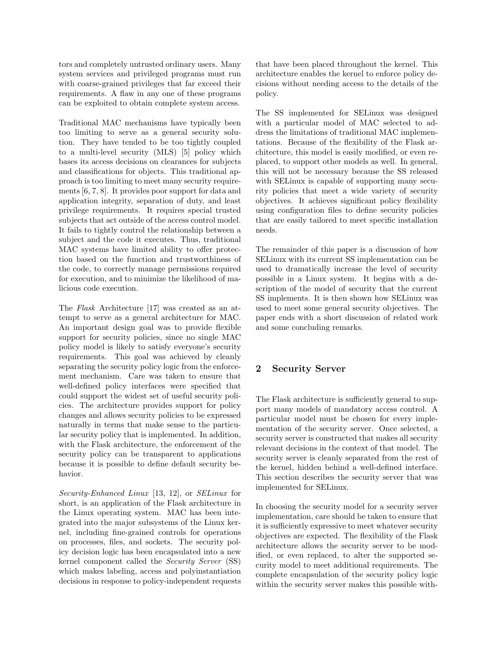tors and completely untrusted ordinary users. Many system services and privileged programs must run with coarse-grained privileges that far exceed their requirements. A flaw in any one of these programs can be exploited to obtain complete system access.

Traditional MAC mechanisms have typically been too limiting to serve as a general security solution. They have tended to be too tightly coupled to a multi-level security (MLS) [5] policy which bases its access decisions on clearances for subjects and classifications for objects. This traditional approach is too limiting to meet many security requirements [6, 7, 8]. It provides poor support for data and application integrity, separation of duty, and least privilege requirements. It requires special trusted subjects that act outside of the access control model. It fails to tightly control the relationship between a subject and the code it executes. Thus, traditional MAC systems have limited ability to offer protection based on the function and trustworthiness of the code, to correctly manage permissions required for execution, and to minimize the likelihood of malicious code execution.

The Flask Architecture [17] was created as an attempt to serve as a general architecture for MAC. An important design goal was to provide flexible support for security policies, since no single MAC policy model is likely to satisfy everyone's security requirements. This goal was achieved by cleanly separating the security policy logic from the enforcement mechanism. Care was taken to ensure that well-defined policy interfaces were specified that could support the widest set of useful security policies. The architecture provides support for policy changes and allows security policies to be expressed naturally in terms that make sense to the particular security policy that is implemented. In addition, with the Flask architecture, the enforcement of the security policy can be transparent to applications because it is possible to define default security behavior.

Security-Enhanced Linux [13, 12], or SELinux for short, is an application of the Flask architecture in the Linux operating system. MAC has been integrated into the major subsystems of the Linux kernel, including fine-grained controls for operations on processes, files, and sockets. The security policy decision logic has been encapsulated into a new kernel component called the Security Server (SS) which makes labeling, access and polyinstantiation decisions in response to policy-independent requests

that have been placed throughout the kernel. This architecture enables the kernel to enforce policy decisions without needing access to the details of the policy.

The SS implemented for SELinux was designed with a particular model of MAC selected to address the limitations of traditional MAC implementations. Because of the flexibility of the Flask architecture, this model is easily modified, or even replaced, to support other models as well. In general, this will not be necessary because the SS released with SELinux is capable of supporting many security policies that meet a wide variety of security objectives. It achieves significant policy flexibility using configuration files to define security policies that are easily tailored to meet specific installation needs.

The remainder of this paper is a discussion of how SELinux with its current SS implementation can be used to dramatically increase the level of security possible in a Linux system. It begins with a description of the model of security that the current SS implements. It is then shown how SELinux was used to meet some general security objectives. The paper ends with a short discussion of related work and some concluding remarks.

# 2 Security Server

The Flask architecture is sufficiently general to support many models of mandatory access control. A particular model must be chosen for every implementation of the security server. Once selected, a security server is constructed that makes all security relevant decisions in the context of that model. The security server is cleanly separated from the rest of the kernel, hidden behind a well-defined interface. This section describes the security server that was implemented for SELinux.

In choosing the security model for a security server implementation, care should be taken to ensure that it is sufficiently expressive to meet whatever security objectives are expected. The flexibility of the Flask architecture allows the security server to be modified, or even replaced, to alter the supported security model to meet additional requirements. The complete encapsulation of the security policy logic within the security server makes this possible with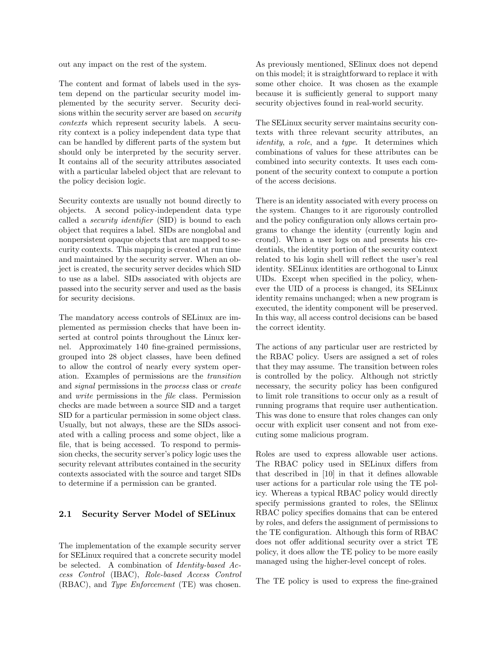out any impact on the rest of the system.

The content and format of labels used in the system depend on the particular security model implemented by the security server. Security decisions within the security server are based on *security* contexts which represent security labels. A security context is a policy independent data type that can be handled by different parts of the system but should only be interpreted by the security server. It contains all of the security attributes associated with a particular labeled object that are relevant to the policy decision logic.

Security contexts are usually not bound directly to objects. A second policy-independent data type called a security identifier (SID) is bound to each object that requires a label. SIDs are nonglobal and nonpersistent opaque objects that are mapped to security contexts. This mapping is created at run time and maintained by the security server. When an object is created, the security server decides which SID to use as a label. SIDs associated with objects are passed into the security server and used as the basis for security decisions.

The mandatory access controls of SELinux are implemented as permission checks that have been inserted at control points throughout the Linux kernel. Approximately 140 fine-grained permissions, grouped into 28 object classes, have been defined to allow the control of nearly every system operation. Examples of permissions are the transition and signal permissions in the process class or create and write permissions in the file class. Permission checks are made between a source SID and a target SID for a particular permission in some object class. Usually, but not always, these are the SIDs associated with a calling process and some object, like a file, that is being accessed. To respond to permission checks, the security server's policy logic uses the security relevant attributes contained in the security contexts associated with the source and target SIDs to determine if a permission can be granted.

#### 2.1 Security Server Model of SELinux

The implementation of the example security server for SELinux required that a concrete security model be selected. A combination of Identity-based Access Control (IBAC), Role-based Access Control (RBAC), and Type Enforcement (TE) was chosen.

As previously mentioned, SElinux does not depend on this model; it is straightforward to replace it with some other choice. It was chosen as the example because it is sufficiently general to support many security objectives found in real-world security.

The SELinux security server maintains security contexts with three relevant security attributes, an identity, a role, and a type. It determines which combinations of values for these attributes can be combined into security contexts. It uses each component of the security context to compute a portion of the access decisions.

There is an identity associated with every process on the system. Changes to it are rigorously controlled and the policy configuration only allows certain programs to change the identity (currently login and crond). When a user logs on and presents his credentials, the identity portion of the security context related to his login shell will reflect the user's real identity. SELinux identities are orthogonal to Linux UIDs. Except when specified in the policy, whenever the UID of a process is changed, its SELinux identity remains unchanged; when a new program is executed, the identity component will be preserved. In this way, all access control decisions can be based the correct identity.

The actions of any particular user are restricted by the RBAC policy. Users are assigned a set of roles that they may assume. The transition between roles is controlled by the policy. Although not strictly necessary, the security policy has been configured to limit role transitions to occur only as a result of running programs that require user authentication. This was done to ensure that roles changes can only occur with explicit user consent and not from executing some malicious program.

Roles are used to express allowable user actions. The RBAC policy used in SELinux differs from that described in [10] in that it defines allowable user actions for a particular role using the TE policy. Whereas a typical RBAC policy would directly specify permissions granted to roles, the SElinux RBAC policy specifies domains that can be entered by roles, and defers the assignment of permissions to the TE configuration. Although this form of RBAC does not offer additional security over a strict TE policy, it does allow the TE policy to be more easily managed using the higher-level concept of roles.

The TE policy is used to express the fine-grained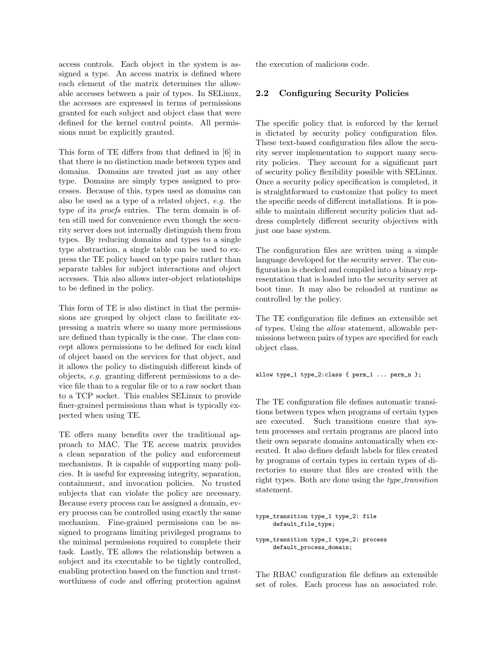access controls. Each object in the system is assigned a type. An access matrix is defined where each element of the matrix determines the allowable accesses between a pair of types. In SELinux, the accesses are expressed in terms of permissions granted for each subject and object class that were defined for the kernel control points. All permissions must be explicitly granted.

This form of TE differs from that defined in [6] in that there is no distinction made between types and domains. Domains are treated just as any other type. Domains are simply types assigned to processes. Because of this, types used as domains can also be used as a type of a related object, e.g. the type of its *procfs* entries. The term domain is often still used for convenience even though the security server does not internally distinguish them from types. By reducing domains and types to a single type abstraction, a single table can be used to express the TE policy based on type pairs rather than separate tables for subject interactions and object accesses. This also allows inter-object relationships to be defined in the policy.

This form of TE is also distinct in that the permissions are grouped by object class to facilitate expressing a matrix where so many more permissions are defined than typically is the case. The class concept allows permissions to be defined for each kind of object based on the services for that object, and it allows the policy to distinguish different kinds of objects, e.g. granting different permissions to a device file than to a regular file or to a raw socket than to a TCP socket. This enables SELinux to provide finer-grained permissions than what is typically expected when using TE.

TE offers many benefits over the traditional approach to MAC. The TE access matrix provides a clean separation of the policy and enforcement mechanisms. It is capable of supporting many policies. It is useful for expressing integrity, separation, containment, and invocation policies. No trusted subjects that can violate the policy are necessary. Because every process can be assigned a domain, every process can be controlled using exactly the same mechanism. Fine-grained permissions can be assigned to programs limiting privileged programs to the minimal permissions required to complete their task. Lastly, TE allows the relationship between a subject and its executable to be tightly controlled, enabling protection based on the function and trustworthiness of code and offering protection against

the execution of malicious code.

### 2.2 Configuring Security Policies

The specific policy that is enforced by the kernel is dictated by security policy configuration files. These text-based configuration files allow the security server implementation to support many security policies. They account for a significant part of security policy flexibility possible with SELinux. Once a security policy specification is completed, it is straightforward to customize that policy to meet the specific needs of different installations. It is possible to maintain different security policies that address completely different security objectives with just one base system.

The configuration files are written using a simple language developed for the security server. The configuration is checked and compiled into a binary representation that is loaded into the security server at boot time. It may also be reloaded at runtime as controlled by the policy.

The TE configuration file defines an extensible set of types. Using the allow statement, allowable permissions between pairs of types are specified for each object class.

allow type\_1 type\_2:class { perm\_1 ... perm\_n };

The TE configuration file defines automatic transitions between types when programs of certain types are executed. Such transitions ensure that system processes and certain programs are placed into their own separate domains automatically when executed. It also defines default labels for files created by programs of certain types in certain types of directories to ensure that files are created with the right types. Both are done using the *type\_transition* statement.

```
type_transition type_1 type_2: file
     default_file_type;
```
type\_transition type\_1 type\_2: process default\_process\_domain;

The RBAC configuration file defines an extensible set of roles. Each process has an associated role.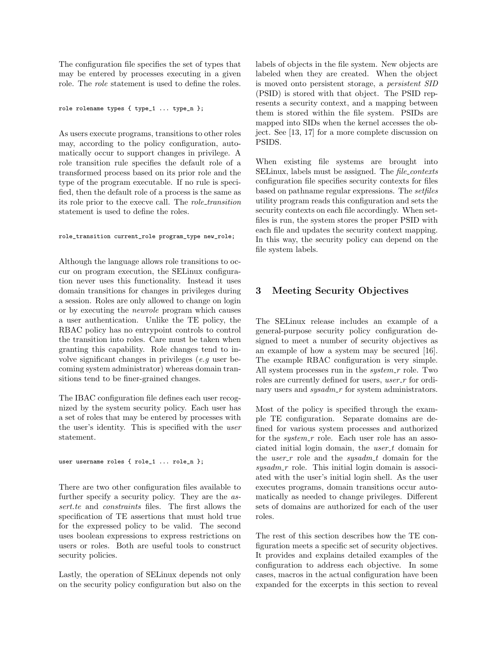The configuration file specifies the set of types that may be entered by processes executing in a given role. The role statement is used to define the roles.

role rolename types { type\_1 ... type\_n };

As users execute programs, transitions to other roles may, according to the policy configuration, automatically occur to support changes in privilege. A role transition rule specifies the default role of a transformed process based on its prior role and the type of the program executable. If no rule is specified, then the default role of a process is the same as its role prior to the execve call. The role\_transition statement is used to define the roles.

#### role\_transition current\_role program\_type new\_role;

Although the language allows role transitions to occur on program execution, the SELinux configuration never uses this functionality. Instead it uses domain transitions for changes in privileges during a session. Roles are only allowed to change on login or by executing the newrole program which causes a user authentication. Unlike the TE policy, the RBAC policy has no entrypoint controls to control the transition into roles. Care must be taken when granting this capability. Role changes tend to involve significant changes in privileges (e.g user becoming system administrator) whereas domain transitions tend to be finer-grained changes.

The IBAC configuration file defines each user recognized by the system security policy. Each user has a set of roles that may be entered by processes with the user's identity. This is specified with the user statement.

user username roles { role\_1 ... role\_n };

There are two other configuration files available to further specify a security policy. They are the assert.te and *constraints* files. The first allows the specification of TE assertions that must hold true for the expressed policy to be valid. The second uses boolean expressions to express restrictions on users or roles. Both are useful tools to construct security policies.

Lastly, the operation of SELinux depends not only on the security policy configuration but also on the labels of objects in the file system. New objects are labeled when they are created. When the object is moved onto persistent storage, a persistent SID (PSID) is stored with that object. The PSID represents a security context, and a mapping between them is stored within the file system. PSIDs are mapped into SIDs when the kernel accesses the object. See [13, 17] for a more complete discussion on PSIDS.

When existing file systems are brought into SELinux, labels must be assigned. The file\_contexts configuration file specifies security contexts for files based on pathname regular expressions. The setfiles utility program reads this configuration and sets the security contexts on each file accordingly. When setfiles is run, the system stores the proper PSID with each file and updates the security context mapping. In this way, the security policy can depend on the file system labels.

# 3 Meeting Security Objectives

The SELinux release includes an example of a general-purpose security policy configuration designed to meet a number of security objectives as an example of how a system may be secured [16]. The example RBAC configuration is very simple. All system processes run in the  $system_r$  role. Two roles are currently defined for users, *user\_r* for ordinary users and  $sysadm_r$  for system administrators.

Most of the policy is specified through the example TE configuration. Separate domains are defined for various system processes and authorized for the  $system_r$  role. Each user role has an associated initial login domain, the  $user_t$  domain for the *user-r* role and the *sysadm<sub>-t</sub>* domain for the  $sysadm\_r$  role. This initial login domain is associated with the user's initial login shell. As the user executes programs, domain transitions occur automatically as needed to change privileges. Different sets of domains are authorized for each of the user roles.

The rest of this section describes how the TE configuration meets a specific set of security objectives. It provides and explains detailed examples of the configuration to address each objective. In some cases, macros in the actual configuration have been expanded for the excerpts in this section to reveal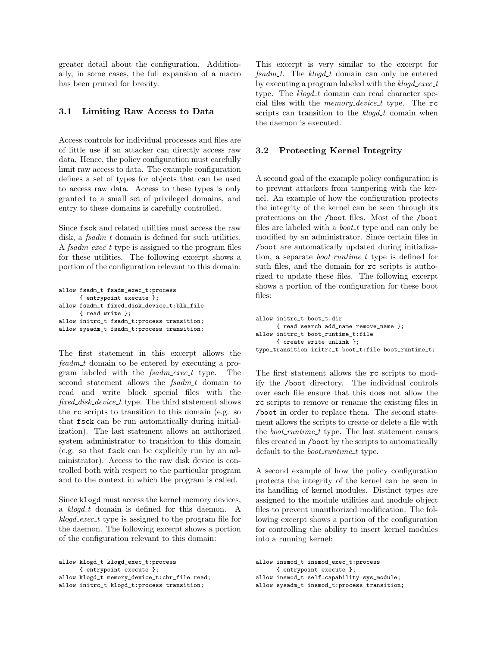greater detail about the configuration. Additionally, in some cases, the full expansion of a macro has been pruned for brevity.

#### 3.1 Limiting Raw Access to Data

Access controls for individual processes and files are of little use if an attacker can directly access raw data. Hence, the policy configuration must carefully limit raw access to data. The example configuration defines a set of types for objects that can be used to access raw data. Access to these types is only granted to a small set of privileged domains, and entry to these domains is carefully controlled.

Since fsck and related utilities must access the raw disk, a  $fsadm\_t$  domain is defined for such utilities. A  $fsadm\_exec\_t$  type is assigned to the program files for these utilities. The following excerpt shows a portion of the configuration relevant to this domain:

```
allow fsadm_t fsadm_exec_t:process
     { entrypoint execute };
allow fsadm_t fixed_disk_device_t:blk_file
      { read write };
allow initrc_t fsadm_t:process transition;
allow sysadm_t fsadm_t:process transition;
```
The first statement in this excerpt allows the  $f$ sadm<sub>-t</sub> domain to be entered by executing a program labeled with the  $fsadm\_exec\_t$  type. The second statement allows the  $fsadm_t$  domain to read and write block special files with the fixed\_disk\_device\_t type. The third statement allows the rc scripts to transition to this domain (e.g. so that fsck can be run automatically during initialization). The last statement allows an authorized system administrator to transition to this domain (e.g. so that fsck can be explicitly run by an administrator). Access to the raw disk device is controlled both with respect to the particular program and to the context in which the program is called.

Since klogd must access the kernel memory devices, a klogd t domain is defined for this daemon. A  $k\not\!q \text{degree} t$  type is assigned to the program file for the daemon. The following excerpt shows a portion of the configuration relevant to this domain:

```
allow klogd_t klogd_exec_t:process
     { entrypoint execute };
allow klogd_t memory_device_t:chr_file read;
allow initrc_t klogd_t:process transition;
```
This excerpt is very similar to the excerpt for  $fsadm_t$ . The klogd<sub>-t</sub> domain can only be entered by executing a program labeled with the  $k\not\!q d\_exec\_t$ type. The  $klog d_t$  domain can read character special files with the *memory\_device\_t* type. The  $rc$ scripts can transition to the klogd t domain when the daemon is executed.

### 3.2 Protecting Kernel Integrity

A second goal of the example policy configuration is to prevent attackers from tampering with the kernel. An example of how the configuration protects the integrity of the kernel can be seen through its protections on the /boot files. Most of the /boot files are labeled with a  $boot\_t$  type and can only be modified by an administrator. Since certain files in /boot are automatically updated during initialization, a separate *boot\_runtime\_t* type is defined for such files, and the domain for rc scripts is authorized to update these files. The following excerpt shows a portion of the configuration for these boot files:

```
allow initrc_t boot_t:dir
      { read search add_name remove_name };
allow initrc_t boot_runtime_t:file
     { create write unlink };
type_transition initrc_t boot_t:file boot_runtime_t;
```
The first statement allows the rc scripts to modify the /boot directory. The individual controls over each file ensure that this does not allow the rc scripts to remove or rename the existing files in /boot in order to replace them. The second statement allows the scripts to create or delete a file with the *boot\_runtime\_t* type. The last statement causes files created in /boot by the scripts to automatically default to the *boot\_runtime\_t* type.

A second example of how the policy configuration protects the integrity of the kernel can be seen in its handling of kernel modules. Distinct types are assigned to the module utilities and module object files to prevent unauthorized modification. The following excerpt shows a portion of the configuration for controlling the ability to insert kernel modules into a running kernel:

allow insmod\_t insmod\_exec\_t:process { entrypoint execute }; allow insmod\_t self:capability sys\_module; allow sysadm\_t insmod\_t:process transition;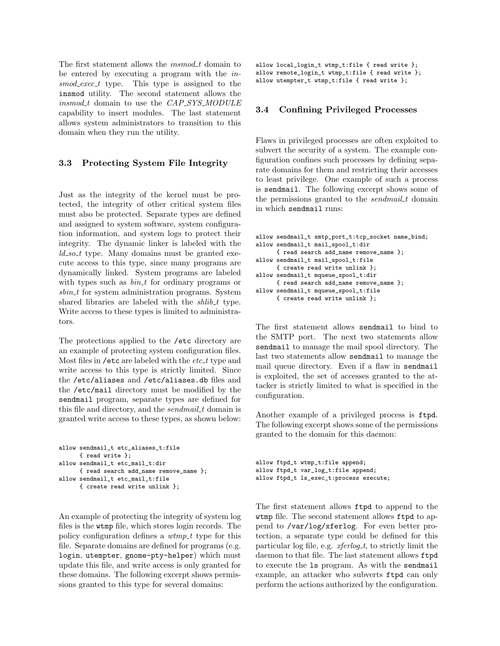The first statement allows the *insmod\_t* domain to be entered by executing a program with the insmod\_exec\_t type. This type is assigned to the insmod utility. The second statement allows the  $insmod_t$  domain to use the  $CAP\_SYS\_MODULE$ capability to insert modules. The last statement allows system administrators to transition to this domain when they run the utility.

#### 3.3 Protecting System File Integrity

Just as the integrity of the kernel must be protected, the integrity of other critical system files must also be protected. Separate types are defined and assigned to system software, system configuration information, and system logs to protect their integrity. The dynamic linker is labeled with the  $ld\_so\_t$  type. Many domains must be granted execute access to this type, since many programs are dynamically linked. System programs are labeled with types such as  $bin\_t$  for ordinary programs or  $sbin\_t$  for system administration programs. System shared libraries are labeled with the  $\textit{shift\_t}$  type. Write access to these types is limited to administrators.

The protections applied to the /etc directory are an example of protecting system configuration files. Most files in /etc are labeled with the  $etc_{\mathcal{L}}t$  type and write access to this type is strictly limited. Since the /etc/aliases and /etc/aliases.db files and the /etc/mail directory must be modified by the sendmail program, separate types are defined for this file and directory, and the *sendmail t* domain is granted write access to these types, as shown below:

```
allow sendmail_t etc_aliases_t:file
     { read write };
allow sendmail t etc mail t:dir
     { read search add_name remove_name };
allow sendmail_t etc_mail_t:file
      { create read write unlink };
```
An example of protecting the integrity of system log files is the wtmp file, which stores login records. The policy configuration defines a wtmp\_t type for this file. Separate domains are defined for programs (e.g. login, utempter, gnome-pty-helper) which must update this file, and write access is only granted for these domains. The following excerpt shows permissions granted to this type for several domains:

```
allow local_login_t wtmp_t:file { read write };
allow remote_login_t wtmp_t:file { read write };
allow utempter_t wtmp_t:file { read write };
```
#### 3.4 Confining Privileged Processes

Flaws in privileged processes are often exploited to subvert the security of a system. The example configuration confines such processes by defining separate domains for them and restricting their accesses to least privilege. One example of such a process is sendmail. The following excerpt shows some of the permissions granted to the *sendmail\_t* domain in which sendmail runs:

```
allow sendmail_t smtp_port_t:tcp_socket name_bind;
allow sendmail_t mail_spool_t:dir
      { read search add_name remove_name };
allow sendmail_t mail_spool_t:file
      { create read write unlink };
allow sendmail_t mqueue_spool_t:dir
     { read search add_name remove_name };
allow sendmail_t mqueue_spool_t:file
      { create read write unlink };
```
The first statement allows sendmail to bind to the SMTP port. The next two statements allow sendmail to manage the mail spool directory. The last two statements allow sendmail to manage the mail queue directory. Even if a flaw in sendmail is exploited, the set of accesses granted to the attacker is strictly limited to what is specified in the configuration.

Another example of a privileged process is ftpd. The following excerpt shows some of the permissions granted to the domain for this daemon:

```
allow ftpd_t wtmp_t:file append;
allow ftpd_t var_log_t:file append;
allow ftpd_t ls_exec_t:process execute;
```
The first statement allows ftpd to append to the wtmp file. The second statement allows ftpd to append to /var/log/xferlog. For even better protection, a separate type could be defined for this particular log file, e.g.  $xferlog_t t$ , to strictly limit the daemon to that file. The last statement allows ftpd to execute the ls program. As with the sendmail example, an attacker who subverts ftpd can only perform the actions authorized by the configuration.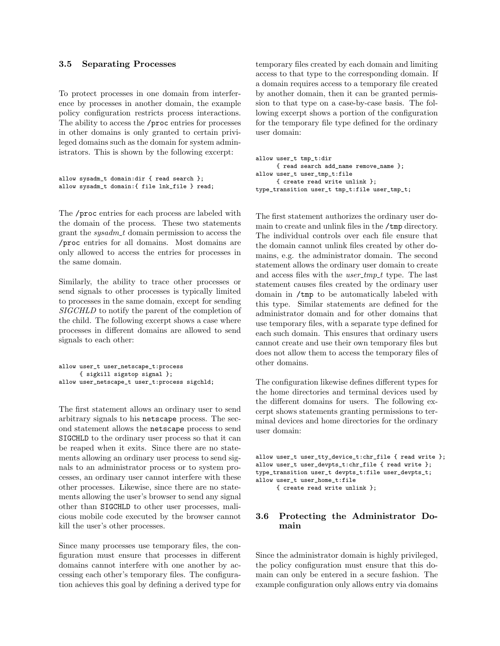#### 3.5 Separating Processes

To protect processes in one domain from interference by processes in another domain, the example policy configuration restricts process interactions. The ability to access the /proc entries for processes in other domains is only granted to certain privileged domains such as the domain for system administrators. This is shown by the following excerpt:

```
allow sysadm_t domain:dir { read search };
allow sysadm_t domain:{ file lnk_file } read;
```
The /proc entries for each process are labeled with the domain of the process. These two statements grant the  $sysadm\_t$  domain permission to access the /proc entries for all domains. Most domains are only allowed to access the entries for processes in the same domain.

Similarly, the ability to trace other processes or send signals to other processes is typically limited to processes in the same domain, except for sending SIGCHLD to notify the parent of the completion of the child. The following excerpt shows a case where processes in different domains are allowed to send signals to each other:

```
allow user_t user_netscape_t:process
      { sigkill sigstop signal };
allow user_netscape_t user_t:process sigchld;
```
The first statement allows an ordinary user to send arbitrary signals to his netscape process. The second statement allows the netscape process to send SIGCHLD to the ordinary user process so that it can be reaped when it exits. Since there are no statements allowing an ordinary user process to send signals to an administrator process or to system processes, an ordinary user cannot interfere with these other processes. Likewise, since there are no statements allowing the user's browser to send any signal other than SIGCHLD to other user processes, malicious mobile code executed by the browser cannot kill the user's other processes.

Since many processes use temporary files, the configuration must ensure that processes in different domains cannot interfere with one another by accessing each other's temporary files. The configuration achieves this goal by defining a derived type for temporary files created by each domain and limiting access to that type to the corresponding domain. If a domain requires access to a temporary file created by another domain, then it can be granted permission to that type on a case-by-case basis. The following excerpt shows a portion of the configuration for the temporary file type defined for the ordinary user domain:

```
allow user_t tmp_t:dir
     { read search add_name remove_name };
allow user_t user_tmp_t:file
     { create read write unlink };
type_transition user_t tmp_t:file user_tmp_t;
```
The first statement authorizes the ordinary user domain to create and unlink files in the /tmp directory. The individual controls over each file ensure that the domain cannot unlink files created by other domains, e.g. the administrator domain. The second statement allows the ordinary user domain to create and access files with the  $user\_tmp\_t$  type. The last statement causes files created by the ordinary user domain in /tmp to be automatically labeled with this type. Similar statements are defined for the administrator domain and for other domains that use temporary files, with a separate type defined for each such domain. This ensures that ordinary users cannot create and use their own temporary files but does not allow them to access the temporary files of other domains.

The configuration likewise defines different types for the home directories and terminal devices used by the different domains for users. The following excerpt shows statements granting permissions to terminal devices and home directories for the ordinary user domain:

```
allow user_t user_tty_device_t:chr_file { read write };
allow user_t user_devpts_t:chr_file { read write };
type_transition user_t devpts_t:file user_devpts_t;
allow user_t user_home_t:file
     { create read write unlink };
```
# 3.6 Protecting the Administrator Domain

Since the administrator domain is highly privileged, the policy configuration must ensure that this domain can only be entered in a secure fashion. The example configuration only allows entry via domains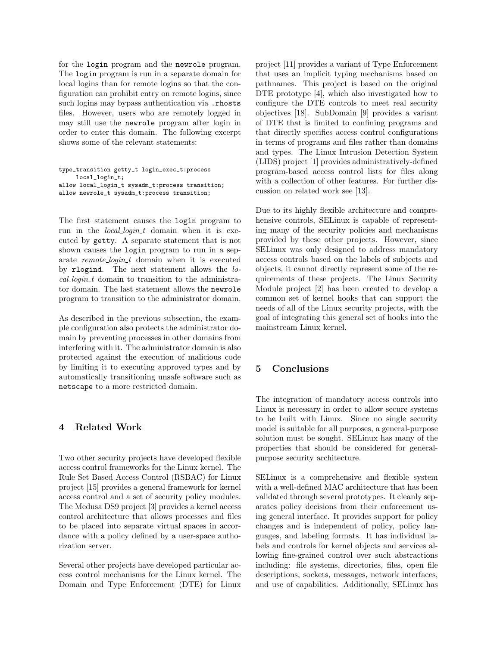for the login program and the newrole program. The login program is run in a separate domain for local logins than for remote logins so that the configuration can prohibit entry on remote logins, since such logins may bypass authentication via .rhosts files. However, users who are remotely logged in may still use the newrole program after login in order to enter this domain. The following excerpt shows some of the relevant statements:

```
type_transition getty_t login_exec_t:process
    local_login_t;
allow local_login_t sysadm_t:process transition;
allow newrole_t sysadm_t:process transition;
```
The first statement causes the login program to run in the *local\_login\_t* domain when it is executed by getty. A separate statement that is not shown causes the login program to run in a separate remote\_login\_t domain when it is executed by rlogind. The next statement allows the lo $cal\_login\_t$  domain to transition to the administrator domain. The last statement allows the newrole program to transition to the administrator domain.

As described in the previous subsection, the example configuration also protects the administrator domain by preventing processes in other domains from interfering with it. The administrator domain is also protected against the execution of malicious code by limiting it to executing approved types and by automatically transitioning unsafe software such as netscape to a more restricted domain.

# 4 Related Work

Two other security projects have developed flexible access control frameworks for the Linux kernel. The Rule Set Based Access Control (RSBAC) for Linux project [15] provides a general framework for kernel access control and a set of security policy modules. The Medusa DS9 project [3] provides a kernel access control architecture that allows processes and files to be placed into separate virtual spaces in accordance with a policy defined by a user-space authorization server.

Several other projects have developed particular access control mechanisms for the Linux kernel. The Domain and Type Enforcement (DTE) for Linux project [11] provides a variant of Type Enforcement that uses an implicit typing mechanisms based on pathnames. This project is based on the original DTE prototype [4], which also investigated how to configure the DTE controls to meet real security objectives [18]. SubDomain [9] provides a variant of DTE that is limited to confining programs and that directly specifies access control configurations in terms of programs and files rather than domains and types. The Linux Intrusion Detection System (LIDS) project [1] provides administratively-defined program-based access control lists for files along with a collection of other features. For further discussion on related work see [13].

Due to its highly flexible architecture and comprehensive controls, SELinux is capable of representing many of the security policies and mechanisms provided by these other projects. However, since SELinux was only designed to address mandatory access controls based on the labels of subjects and objects, it cannot directly represent some of the requirements of these projects. The Linux Security Module project [2] has been created to develop a common set of kernel hooks that can support the needs of all of the Linux security projects, with the goal of integrating this general set of hooks into the mainstream Linux kernel.

# 5 Conclusions

The integration of mandatory access controls into Linux is necessary in order to allow secure systems to be built with Linux. Since no single security model is suitable for all purposes, a general-purpose solution must be sought. SELinux has many of the properties that should be considered for generalpurpose security architecture.

SELinux is a comprehensive and flexible system with a well-defined MAC architecture that has been validated through several prototypes. It cleanly separates policy decisions from their enforcement using general interface. It provides support for policy changes and is independent of policy, policy languages, and labeling formats. It has individual labels and controls for kernel objects and services allowing fine-grained control over such abstractions including: file systems, directories, files, open file descriptions, sockets, messages, network interfaces, and use of capabilities. Additionally, SELinux has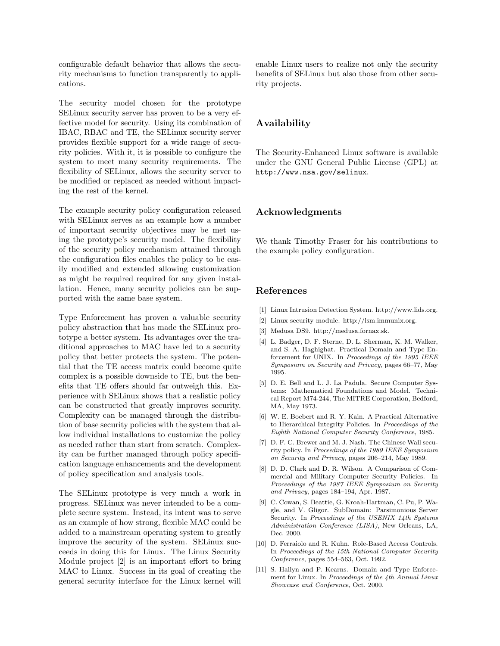configurable default behavior that allows the security mechanisms to function transparently to applications.

The security model chosen for the prototype SELinux security server has proven to be a very effective model for security. Using its combination of IBAC, RBAC and TE, the SELinux security server provides flexible support for a wide range of security policies. With it, it is possible to configure the system to meet many security requirements. The flexibility of SELinux, allows the security server to be modified or replaced as needed without impacting the rest of the kernel.

The example security policy configuration released with SELinux serves as an example how a number of important security objectives may be met using the prototype's security model. The flexibility of the security policy mechanism attained through the configuration files enables the policy to be easily modified and extended allowing customization as might be required required for any given installation. Hence, many security policies can be supported with the same base system.

Type Enforcement has proven a valuable security policy abstraction that has made the SELinux prototype a better system. Its advantages over the traditional approaches to MAC have led to a security policy that better protects the system. The potential that the TE access matrix could become quite complex is a possible downside to TE, but the benefits that TE offers should far outweigh this. Experience with SELinux shows that a realistic policy can be constructed that greatly improves security. Complexity can be managed through the distribution of base security policies with the system that allow individual installations to customize the policy as needed rather than start from scratch. Complexity can be further managed through policy specification language enhancements and the development of policy specification and analysis tools.

The SELinux prototype is very much a work in progress. SELinux was never intended to be a complete secure system. Instead, its intent was to serve as an example of how strong, flexible MAC could be added to a mainstream operating system to greatly improve the security of the system. SELinux succeeds in doing this for Linux. The Linux Security Module project [2] is an important effort to bring MAC to Linux. Success in its goal of creating the general security interface for the Linux kernel will

enable Linux users to realize not only the security benefits of SELinux but also those from other security projects.

# Availability

The Security-Enhanced Linux software is available under the GNU General Public License (GPL) at http://www.nsa.gov/selinux.

#### Acknowledgments

We thank Timothy Fraser for his contributions to the example policy configuration.

#### References

- [1] Linux Intrusion Detection System. http://www.lids.org.
- [2] Linux security module. http://lsm.immunix.org.
- [3] Medusa DS9. http://medusa.fornax.sk.
- [4] L. Badger, D. F. Sterne, D. L. Sherman, K. M. Walker, and S. A. Haghighat. Practical Domain and Type Enforcement for UNIX. In Proceedings of the 1995 IEEE Symposium on Security and Privacy, pages 66–77, May 1995.
- [5] D. E. Bell and L. J. La Padula. Secure Computer Systems: Mathematical Foundations and Model. Technical Report M74-244, The MITRE Corporation, Bedford, MA, May 1973.
- [6] W. E. Boebert and R. Y. Kain. A Practical Alternative to Hierarchical Integrity Policies. In Proceedings of the Eighth National Computer Security Conference, 1985.
- [7] D. F. C. Brewer and M. J. Nash. The Chinese Wall security policy. In Proceedings of the 1989 IEEE Symposium on Security and Privacy, pages 206–214, May 1989.
- [8] D. D. Clark and D. R. Wilson. A Comparison of Commercial and Military Computer Security Policies. In Proceedings of the 1987 IEEE Symposium on Security and Privacy, pages 184–194, Apr. 1987.
- [9] C. Cowan, S. Beattie, G. Kroah-Hartman, C. Pu, P. Wagle, and V. Gligor. SubDomain: Parsimonious Server Security. In Proceedings of the USENIX 14th Systems Administration Conference (LISA), New Orleans, LA, Dec. 2000.
- [10] D. Ferraiolo and R. Kuhn. Role-Based Access Controls. In Proceedings of the 15th National Computer Security Conference, pages 554–563, Oct. 1992.
- [11] S. Hallyn and P. Kearns. Domain and Type Enforcement for Linux. In Proceedings of the 4th Annual Linux Showcase and Conference, Oct. 2000.